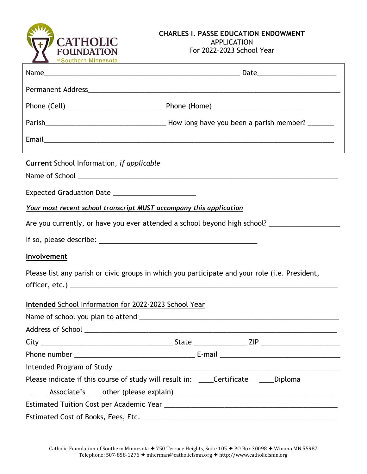

## **CHARLES I. PASSE EDUCATION ENDOWMENT** APPLICATION For 2022–2023 School Year

| <b>Current School Information, if applicable</b>                                                    |  |
|-----------------------------------------------------------------------------------------------------|--|
|                                                                                                     |  |
| Your most recent school transcript MUST accompany this application                                  |  |
| Are you currently, or have you ever attended a school beyond high school? _________________________ |  |
|                                                                                                     |  |
| <b>Involvement</b>                                                                                  |  |
| Please list any parish or civic groups in which you participate and your role (i.e. President,      |  |
| <b>Intended School Information for 2022-2023 School Year</b>                                        |  |
|                                                                                                     |  |
|                                                                                                     |  |
|                                                                                                     |  |
|                                                                                                     |  |
|                                                                                                     |  |
| Please indicate if this course of study will result in: ____Certificate _____Diploma                |  |
|                                                                                                     |  |
|                                                                                                     |  |
|                                                                                                     |  |